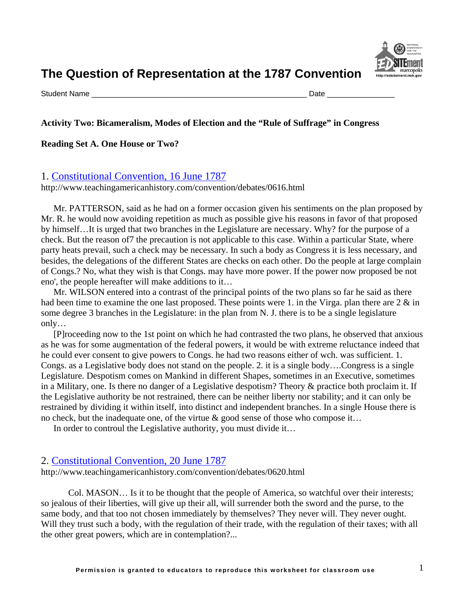

Student Name \_\_\_\_\_\_\_\_\_\_\_\_\_\_\_\_\_\_\_\_\_\_\_\_\_\_\_\_\_\_\_\_\_\_\_\_\_\_\_\_\_\_\_\_\_\_\_\_\_\_\_ Date \_\_\_\_\_\_\_\_\_\_\_\_\_\_\_\_

## **Activity Two: Bicameralism, Modes of Election and the "Rule of Suffrage" in Congress**

#### **Reading Set A. One House or Two?**

#### 1. [Constitutional Convention, 16 June 1787](http://www.teachingamericanhistory.com/convention/debates/0616.html)

http://www.teachingamericanhistory.com/convention/debates/0616.html

[Mr. PATTERSON,](http://www.teachingamericanhistory.com/convention/debates/0616.html##) said as he had on a former occasion given his sentiments on the plan proposed by [Mr. R.](http://www.teachingamericanhistory.com/convention/debates/0616.html##) he would now avoiding repetition as much as possible give his reasons in favor of that proposed by himself…It is urged that two branches in the Legislature are necessary. Why? for the purpose of a check. But the reason of7 the precaution is not applicable to this case. Within a particular State, where party heats prevail, such a check may be necessary. In such a body as Congress it is less necessary, and besides, the delegations of the different States are checks on each other. Do the people at large complain of Congs.? No, what they wish is that Congs. may have more power. If the power now proposed be not eno', the people hereafter will make additions to it…

[Mr. WILSON](http://www.teachingamericanhistory.com/convention/debates/0616.html##) entered into a contrast of the principal points of the two plans so far he said as there had been time to examine the one last proposed. These points were 1. in the Virga. plan there are 2  $\&$  in some degree 3 branches in the Legislature: in the plan from N. J. there is to be a single legislature only…

[P]roceeding now to the 1st point on which he had contrasted the two plans, he observed that anxious as he was for some augmentation of the federal powers, it would be with extreme reluctance indeed that he could ever consent to give powers to Congs. he had two reasons either of wch. was sufficient. 1. Congs. as a Legislative body does not stand on the people. 2. it is a single body….Congress is a single Legislature. Despotism comes on Mankind in different Shapes, sometimes in an Executive, sometimes in a Military, one. Is there no danger of a Legislative despotism? Theory & practice both proclaim it. If the Legislative authority be not restrained, there can be neither liberty nor stability; and it can only be restrained by dividing it within itself, into distinct and independent branches. In a single House there is no check, but the inadequate one, of the virtue  $\&$  good sense of those who compose it...

In order to controul the Legislative authority, you must divide it…

## 2. [Constitutional Convention, 20 June 1787](http://www.teachingamericanhistory.com/convention/debates/0620.html)

http://www.teachingamericanhistory.com/convention/debates/0620.html

[Col. MASON…](http://www.teachingamericanhistory.com/convention/debates/0620.html##) Is it to be thought that the people of America, so watchful over their interests; so jealous of their liberties, will give up their all, will surrender both the sword and the purse, to the same body, and that too not chosen immediately by themselves? They never will. They never ought. Will they trust such a body, with the regulation of their trade, with the regulation of their taxes; with all the other great powers, which are in contemplation?...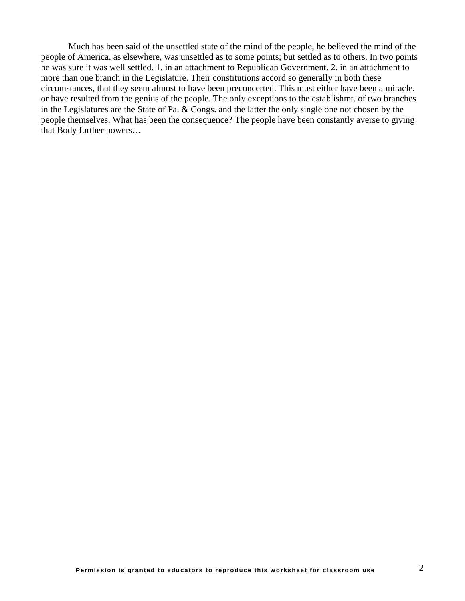Much has been said of the unsettled state of the mind of the people, he believed the mind of the people of America, as elsewhere, was unsettled as to some points; but settled as to others. In two points he was sure it was well settled. 1. in an attachment to Republican Government. 2. in an attachment to more than one branch in the Legislature. Their constitutions accord so generally in both these circumstances, that they seem almost to have been preconcerted. This must either have been a miracle, or have resulted from the genius of the people. The only exceptions to the establishmt. of two branches in the Legislatures are the State of Pa. & Congs. and the latter the only single one not chosen by the people themselves. What has been the consequence? The people have been constantly averse to giving that Body further powers…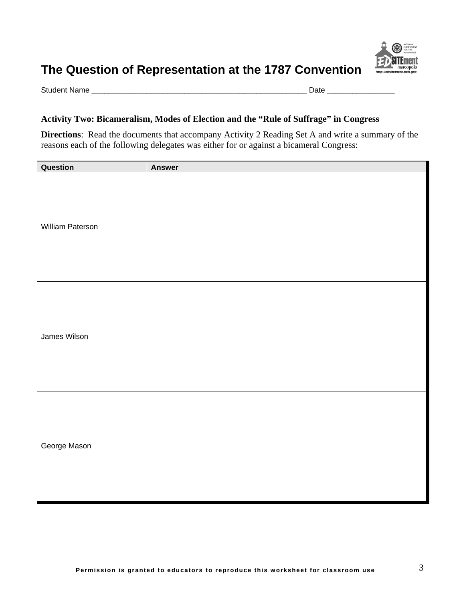

Student Name \_\_\_\_\_\_\_\_\_\_\_\_\_\_\_\_\_\_\_\_\_\_\_\_\_\_\_\_\_\_\_\_\_\_\_\_\_\_\_\_\_\_\_\_\_\_\_\_\_\_\_ Date \_\_\_\_\_\_\_\_\_\_\_\_\_\_\_\_

## **Activity Two: Bicameralism, Modes of Election and the "Rule of Suffrage" in Congress**

**Directions**: Read the documents that accompany Activity 2 Reading Set A and write a summary of the reasons each of the following delegates was either for or against a bicameral Congress:

| Question         | <b>Answer</b> |
|------------------|---------------|
| William Paterson |               |
| James Wilson     |               |
| George Mason     |               |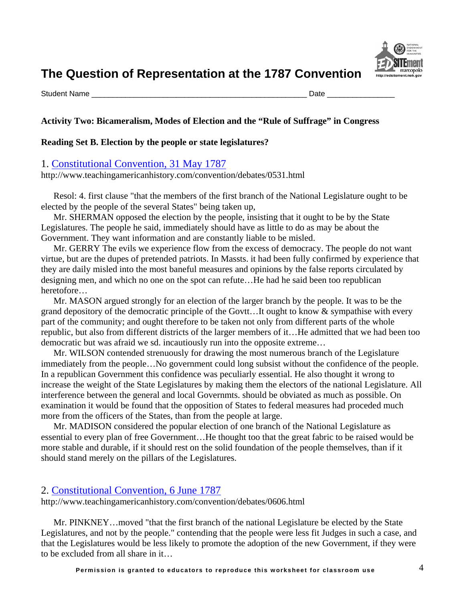

Student Name \_\_\_\_\_\_\_\_\_\_\_\_\_\_\_\_\_\_\_\_\_\_\_\_\_\_\_\_\_\_\_\_\_\_\_\_\_\_\_\_\_\_\_\_\_\_\_\_\_\_\_ Date \_\_\_\_\_\_\_\_\_\_\_\_\_\_\_\_

## **Activity Two: Bicameralism, Modes of Election and the "Rule of Suffrage" in Congress**

#### **Reading Set B. Election by the people or state legislatures?**

#### 1. [Constitutional Convention, 31 May 1787](http://www.teachingamericanhistory.com/convention/debates/0531.html)

http://www.teachingamericanhistory.com/convention/debates/0531.html

Resol: 4. first clause "that the members of the first branch of the National Legislature ought to be elected by the people of the several States" being taken up,

[Mr. SHERMAN](http://www.teachingamericanhistory.com/convention/debates/0531.html##) opposed the election by the people, insisting that it ought to be by the State Legislatures. The people he said, immediately should have as little to do as may be about the Government. They want information and are constantly liable to be misled.

[Mr. GERRY](http://www.teachingamericanhistory.com/convention/debates/0531.html##) The evils we experience flow from the excess of democracy. The people do not want virtue, but are the dupes of pretended patriots. In Massts. it had been fully confirmed by experience that they are daily misled into the most baneful measures and opinions by the false reports circulated by designing men, and which no one on the spot can refute…He had he said been too republican heretofore…

[Mr. MASON](http://www.teachingamericanhistory.com/convention/debates/0531.html##) argued strongly for an election of the larger branch by the people. It was to be the grand depository of the democratic principle of the Govtt…It ought to know & sympathise with every part of the community; and ought therefore to be taken not only from different parts of the whole republic, but also from different districts of the larger members of it…He admitted that we had been too democratic but was afraid we sd. incautiously run into the opposite extreme…

[Mr. WILSON](http://www.teachingamericanhistory.com/convention/debates/0531.html##) contended strenuously for drawing the most numerous branch of the Legislature immediately from the people…No government could long subsist without the confidence of the people. In a republican Government this confidence was peculiarly essential. He also thought it wrong to increase the weight of the State Legislatures by making them the electors of the national Legislature. All interference between the general and local Governmts. should be obviated as much as possible. On examination it would be found that the opposition of States to federal measures had proceded much more from the officers of the States, than from the people at large.

[Mr. MADISON](http://www.teachingamericanhistory.com/convention/debates/0531.html##) considered the popular election of one branch of the National Legislature as essential to every plan of free Government…He thought too that the great fabric to be raised would be more stable and durable, if it should rest on the solid foundation of the people themselves, than if it should stand merely on the pillars of the Legislatures.

## 2. [Constitutional Convention, 6 June 1787](http://www.teachingamericanhistory.com/convention/debates/0606.html)

http://www.teachingamericanhistory.com/convention/debates/0606.html

[Mr. PINKNEY…](http://www.teachingamericanhistory.com/convention/debates/0606.html##)moved "that the first branch of the national Legislature be elected by the State Legislatures, and not by the people." contending that the people were less fit Judges in such a case, and that the Legislatures would be less likely to promote the adoption of the new Government, if they were to be excluded from all share in it…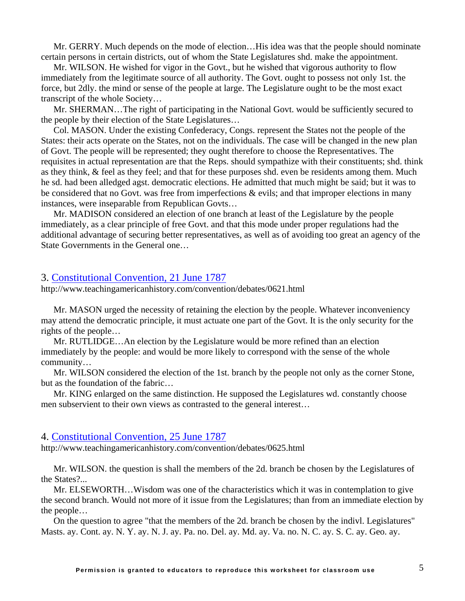[Mr. GERRY.](http://www.teachingamericanhistory.com/convention/debates/0606.html##) Much depends on the mode of election…His idea was that the people should nominate certain persons in certain districts, out of whom the State Legislatures shd. make the appointment.

[Mr. WILSON.](http://www.teachingamericanhistory.com/convention/debates/0606.html##) He wished for vigor in the Govt., but he wished that vigorous authority to flow immediately from the legitimate source of all authority. The Govt. ought to possess not only 1st. the force, but 2dly. the mind or sense of the people at large. The Legislature ought to be the most exact transcript of the whole Society…

[Mr. SHERMAN…](http://www.teachingamericanhistory.com/convention/debates/0606.html##)The right of participating in the National Govt. would be sufficiently secured to the people by their election of the State Legislatures…

[Col. MASON](http://www.teachingamericanhistory.com/convention/debates/0606.html##). Under the existing Confederacy, Congs. represent the States not the people of the States: their acts operate on the States, not on the individuals. The case will be changed in the new plan of Govt. The people will be represented; they ought therefore to choose the Representatives. The requisites in actual representation are that the Reps. should sympathize with their constituents; shd. think as they think, & feel as they feel; and that for these purposes shd. even be residents among them. Much he sd. had been alledged agst. democratic elections. He admitted that much might be said; but it was to be considered that no Govt. was free from imperfections & evils; and that improper elections in many instances, were inseparable from Republican Govts…

[Mr. MADISON](http://www.teachingamericanhistory.com/convention/debates/0606.html##) considered an election of one branch at least of the Legislature by the people immediately, as a clear principle of free Govt. and that this mode under proper regulations had the additional advantage of securing better representatives, as well as of avoiding too great an agency of the State Governments in the General one…

#### 3. [Constitutional Convention, 21 June 1787](http://www.teachingamericanhistory.com/convention/debates/0621.html)

http://www.teachingamericanhistory.com/convention/debates/0621.html

[Mr. MASON](http://www.teachingamericanhistory.com/convention/debates/0621.html##) urged the necessity of retaining the election by the people. Whatever inconveniency may attend the democratic principle, it must actuate one part of the Govt. It is the only security for the rights of the people…

[Mr. RUTLIDGE](http://www.teachingamericanhistory.com/convention/debates/0621.html##)…An election by the Legislature would be more refined than an election immediately by the people: and would be more likely to correspond with the sense of the whole community…

[Mr. WILSON](http://www.teachingamericanhistory.com/convention/debates/0621.html##) considered the election of the 1st. branch by the people not only as the corner Stone, but as the foundation of the fabric…

[Mr. KING](http://www.teachingamericanhistory.com/convention/debates/0621.html##) enlarged on the same distinction. He supposed the Legislatures wd. constantly choose men subservient to their own views as contrasted to the general interest…

#### 4. [Constitutional Convention, 25 June 1787](http://www.teachingamericanhistory.com/convention/debates/0625.html)

http://www.teachingamericanhistory.com/convention/debates/0625.html

[Mr. WILSON.](http://www.teachingamericanhistory.com/convention/debates/0625.html##) the question is shall the members of the 2d. branch be chosen by the Legislatures of the States?...

[Mr. ELSEWORTH…](http://www.teachingamericanhistory.com/convention/debates/0625.html##)Wisdom was one of the characteristics which it was in contemplation to give the second branch. Would not more of it issue from the Legislatures; than from an immediate election by the people…

On the question to agree "that the members of the 2d. branch be chosen by the indivl. Legislatures" Masts. ay. Cont. ay. N. Y. ay. N. J. ay. Pa. no. Del. ay. Md. ay. Va. no. N. C. ay. S. C. ay. Geo. ay.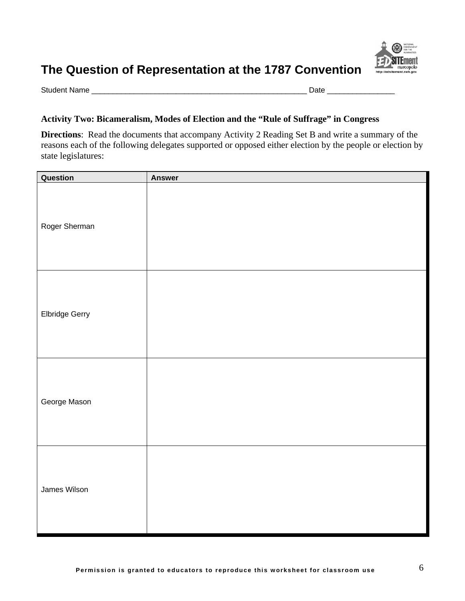

Student Name \_\_\_\_\_\_\_\_\_\_\_\_\_\_\_\_\_\_\_\_\_\_\_\_\_\_\_\_\_\_\_\_\_\_\_\_\_\_\_\_\_\_\_\_\_\_\_\_\_\_\_ Date \_\_\_\_\_\_\_\_\_\_\_\_\_\_\_\_

## **Activity Two: Bicameralism, Modes of Election and the "Rule of Suffrage" in Congress**

**Directions**: Read the documents that accompany Activity 2 Reading Set B and write a summary of the reasons each of the following delegates supported or opposed either election by the people or election by state legislatures:

| Question       | <b>Answer</b> |
|----------------|---------------|
| Roger Sherman  |               |
| Elbridge Gerry |               |
| George Mason   |               |
| James Wilson   |               |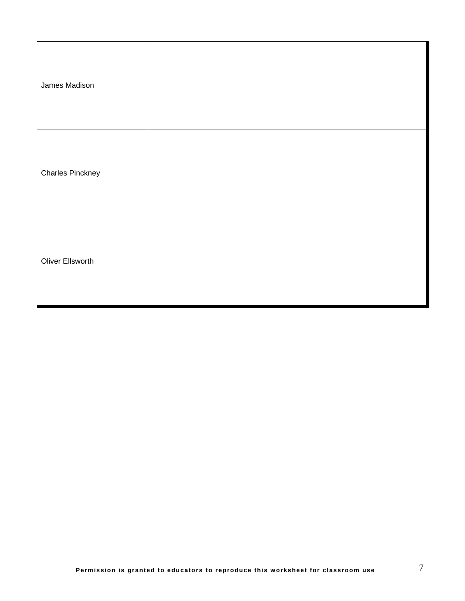| James Madison           |  |
|-------------------------|--|
| <b>Charles Pinckney</b> |  |
| Oliver Ellsworth        |  |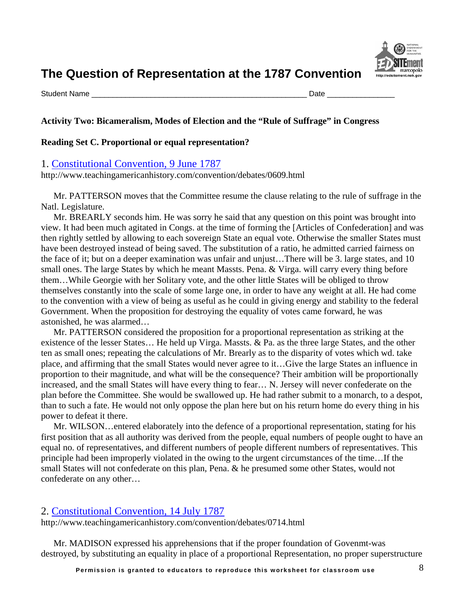

Student Name \_\_\_\_\_\_\_\_\_\_\_\_\_\_\_\_\_\_\_\_\_\_\_\_\_\_\_\_\_\_\_\_\_\_\_\_\_\_\_\_\_\_\_\_\_\_\_\_\_\_\_ Date \_\_\_\_\_\_\_\_\_\_\_\_\_\_\_\_

## **Activity Two: Bicameralism, Modes of Election and the "Rule of Suffrage" in Congress**

#### **Reading Set C. Proportional or equal representation?**

#### 1. [Constitutional Convention, 9 June 1787](http://www.teachingamericanhistory.com/convention/debates/0609.html)

http://www.teachingamericanhistory.com/convention/debates/0609.html

[Mr. PATTERSON](http://www.teachingamericanhistory.com/convention/debates/0609.html##) moves that the Committee resume the clause relating to the rule of suffrage in the Natl. Legislature.

[Mr. BREARLY](http://www.teachingamericanhistory.com/convention/debates/0609.html##) seconds him. He was sorry he said that any question on this point was brought into view. It had been much agitated in Congs. at the time of forming the [Articles of Confederation] and was then rightly settled by allowing to each sovereign State an equal vote. Otherwise the smaller States must have been destroyed instead of being saved. The substitution of a ratio, he admitted carried fairness on the face of it; but on a deeper examination was unfair and unjust…There will be 3. large states, and 10 small ones. The large States by which he meant Massts. Pena. & Virga. will carry every thing before them…While Georgie with her Solitary vote, and the other little States will be obliged to throw themselves constantly into the scale of some large one, in order to have any weight at all. He had come to the convention with a view of being as useful as he could in giving energy and stability to the federal Government. When the proposition for destroying the equality of votes came forward, he was astonished, he was alarmed…

[Mr. PATTERSON](http://www.teachingamericanhistory.com/convention/debates/0609.html##) considered the proposition for a proportional representation as striking at the existence of the lesser States… He held up Virga. Massts. & Pa. as the three large States, and the other ten as small ones; repeating the calculations of [Mr. Brearly](http://www.teachingamericanhistory.com/convention/debates/0609.html##) as to the disparity of votes which wd. take place, and affirming that the small States would never agree to it…Give the large States an influence in proportion to their magnitude, and what will be the consequence? Their ambition will be proportionally increased, and the small States will have every thing to fear… N. Jersey will never confederate on the plan before the Committee. She would be swallowed up. He had rather submit to a monarch, to a despot, than to such a fate. He would not only oppose the plan here but on his return home do every thing in his power to defeat it there.

[Mr. WILSON…](http://www.teachingamericanhistory.com/convention/debates/0609.html##)entered elaborately into the defence of a proportional representation, stating for his first position that as all authority was derived from the people, equal numbers of people ought to have an equal no. of representatives, and different numbers of people different numbers of representatives. This principle had been improperly violated in the owing to the urgent circumstances of the time…If the small States will not confederate on this plan, Pena. & he presumed some other States, would not confederate on any other…

## 2. [Constitutional Convention, 14 July 1787](http://www.teachingamericanhistory.com/convention/debates/0714.html)

http://www.teachingamericanhistory.com/convention/debates/0714.html

[Mr. MADISON](http://www.teachingamericanhistory.com/convention/debates/0714.html##) expressed his apprehensions that if the proper foundation of Govenmt-was destroyed, by substituting an equality in place of a proportional Representation, no proper superstructure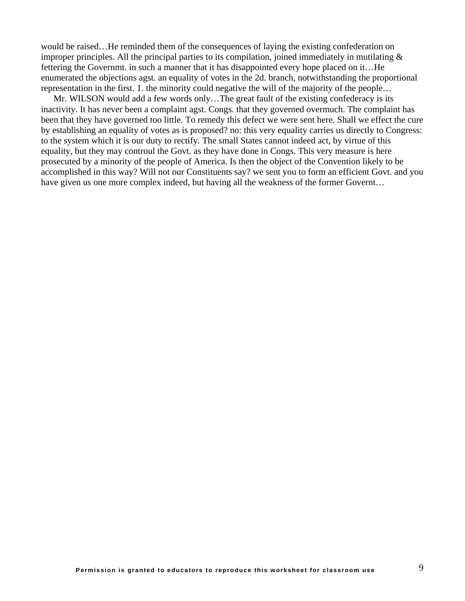would be raised…He reminded them of the consequences of laying the existing confederation on improper principles. All the principal parties to its compilation, joined immediately in mutilating & fettering the Governmt. in such a manner that it has disappointed every hope placed on it…He enumerated the objections agst. an equality of votes in the 2d. branch, notwithstanding the proportional representation in the first. 1. the minority could negative the will of the majority of the people…

[Mr. WILSON](http://www.teachingamericanhistory.com/convention/debates/0714.html##) would add a few words only…The great fault of the existing confederacy is its inactivity. It has never been a complaint agst. Congs. that they governed overmuch. The complaint has been that they have governed too little. To remedy this defect we were sent here. Shall we effect the cure by establishing an equality of votes as is proposed? no: this very equality carries us directly to Congress: to the system which it is our duty to rectify. The small States cannot indeed act, by virtue of this equality, but they may controul the Govt. as they have done in Congs. This very measure is here prosecuted by a minority of the people of America. Is then the object of the Convention likely to be accomplished in this way? Will not our Constituents say? we sent you to form an efficient Govt. and you have given us one more complex indeed, but having all the weakness of the former Governt…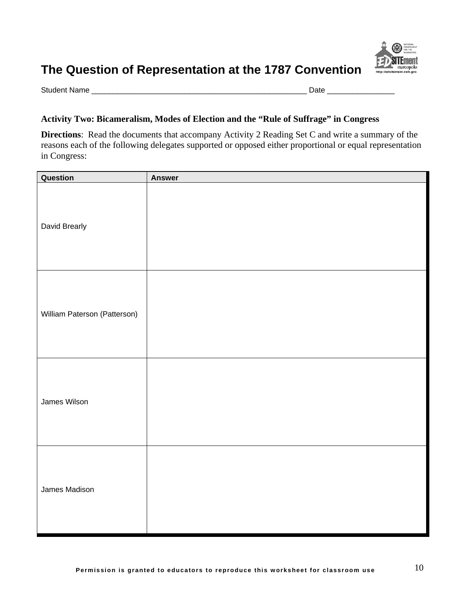

Student Name \_\_\_\_\_\_\_\_\_\_\_\_\_\_\_\_\_\_\_\_\_\_\_\_\_\_\_\_\_\_\_\_\_\_\_\_\_\_\_\_\_\_\_\_\_\_\_\_\_\_\_ Date \_\_\_\_\_\_\_\_\_\_\_\_\_\_\_\_

## **Activity Two: Bicameralism, Modes of Election and the "Rule of Suffrage" in Congress**

**Directions**: Read the documents that accompany Activity 2 Reading Set C and write a summary of the reasons each of the following delegates supported or opposed either proportional or equal representation in Congress:

| Question                     | <b>Answer</b> |
|------------------------------|---------------|
| David Brearly                |               |
| William Paterson (Patterson) |               |
| James Wilson                 |               |
| James Madison                |               |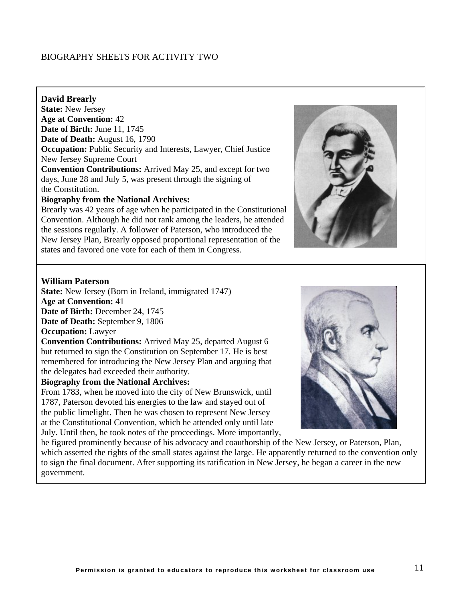## BIOGRAPHY SHEETS FOR ACTIVITY TWO

#### **David Brearly**

**State:** New Jersey **Age at Convention:** 42 **Date of Birth:** June 11, 1745 **Date of Death:** August 16, 1790 **Occupation:** Public Security and Interests, Lawyer, Chief Justice New Jersey Supreme Court **Convention Contributions:** Arrived May 25, and except for two days, June 28 and July 5, was present through the signing of

## the Constitution.

#### **Biography from the National Archives:**

Brearly was 42 years of age when he participated in the Constitutional Convention. Although he did not rank among the leaders, he attended the sessions regularly. A follower of Paterson, who introduced the New Jersey Plan, Brearly opposed proportional representation of the states and favored one vote for each of them in Congress.



#### **William Paterson**

**State:** New Jersey (Born in Ireland, immigrated 1747) **Age at Convention:** 41 **Date of Birth:** December 24, 1745 **Date of Death:** September 9, 1806

### **Occupation:** Lawyer

**Convention Contributions:** Arrived May 25, departed August 6 but returned to sign the Constitution on September 17. He is best remembered for introducing the New Jersey Plan and arguing that the delegates had exceeded their authority.

#### **Biography from the National Archives:**

From 1783, when he moved into the city of New Brunswick, until 1787, Paterson devoted his energies to the law and stayed out of the public limelight. Then he was chosen to represent New Jersey at the Constitutional Convention, which he attended only until late July. Until then, he took notes of the proceedings. More importantly,



he figured prominently because of his advocacy and coauthorship of the New Jersey, or Paterson, Plan, which asserted the rights of the small states against the large. He apparently returned to the convention only to sign the final document. After supporting its ratification in New Jersey, he began a career in the new government.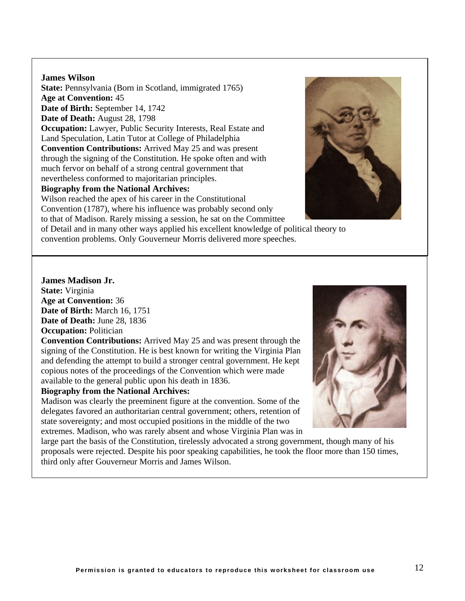#### **James Wilson**

**State:** Pennsylvania (Born in Scotland, immigrated 1765) **Age at Convention:** 45 **Date of Birth:** September 14, 1742 **Date of Death:** August 28, 1798 **Occupation:** Lawyer, Public Security Interests, Real Estate and Land Speculation, Latin Tutor at College of Philadelphia **Convention Contributions:** Arrived May 25 and was present through the signing of the Constitution. He spoke often and with much fervor on behalf of a strong central government that nevertheless conformed to majoritarian principles.

## **Biography from the National Archives:**

Wilson reached the apex of his career in the Constitutional Convention (1787), where his influence was probably second only to that of Madison. Rarely missing a session, he sat on the Committee

of Detail and in many other ways applied his excellent knowledge of political theory to convention problems. Only Gouverneur Morris delivered more speeches.



## **James Madison Jr.**

**State:** Virginia **Age at Convention:** 36 **Date of Birth:** March 16, 1751 **Date of Death:** June 28, 1836 **Occupation:** Politician

**Convention Contributions:** Arrived May 25 and was present through the signing of the Constitution. He is best known for writing the Virginia Plan and defending the attempt to build a stronger central government. He kept copious notes of the proceedings of the Convention which were made available to the general public upon his death in 1836.

#### **Biography from the National Archives:**

Madison was clearly the preeminent figure at the convention. Some of the delegates favored an authoritarian central government; others, retention of state sovereignty; and most occupied positions in the middle of the two extremes. Madison, who was rarely absent and whose Virginia Plan was in

large part the basis of the Constitution, tirelessly advocated a strong government, though many of his proposals were rejected. Despite his poor speaking capabilities, he took the floor more than 150 times, third only after Gouverneur Morris and James Wilson.

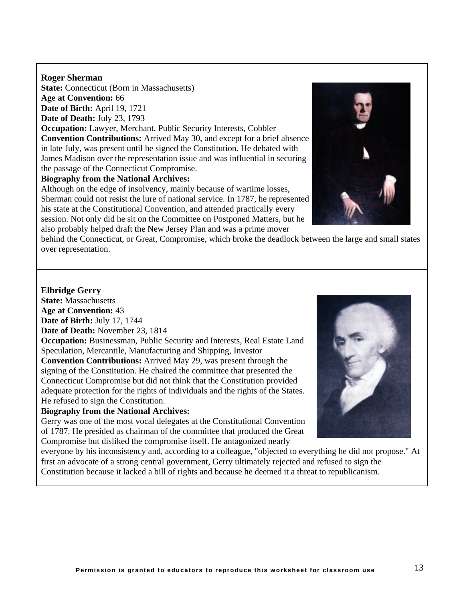#### **Roger Sherman**

**State:** Connecticut (Born in Massachusetts) **Age at Convention:** 66 **Date of Birth:** April 19, 1721

**Date of Death:** July 23, 1793

**Occupation:** Lawyer, Merchant, Public Security Interests, Cobbler **Convention Contributions:** Arrived May 30, and except for a brief absence in late July, was present until he signed the Constitution. He debated with James Madison over the representation issue and was influential in securing the passage of the Connecticut Compromise.

#### **Biography from the National Archives:**

Although on the edge of insolvency, mainly because of wartime losses, Sherman could not resist the lure of national service. In 1787, he represented his state at the Constitutional Convention, and attended practically every session. Not only did he sit on the Committee on Postponed Matters, but he also probably helped draft the New Jersey Plan and was a prime mover



behind the Connecticut, or Great, Compromise, which broke the deadlock between the large and small states over representation.

#### **Elbridge Gerry**

**State:** Massachusetts **Age at Convention:** 43 **Date of Birth:** July 17, 1744

**Date of Death:** November 23, 1814

**Occupation:** Businessman, Public Security and Interests, Real Estate Land Speculation, Mercantile, Manufacturing and Shipping, Investor

**Convention Contributions:** Arrived May 29, was present through the signing of the Constitution. He chaired the committee that presented the Connecticut Compromise but did not think that the Constitution provided adequate protection for the rights of individuals and the rights of the States. He refused to sign the Constitution.

#### **Biography from the National Archives:**

Gerry was one of the most vocal delegates at the Constitutional Convention of 1787. He presided as chairman of the committee that produced the Great Compromise but disliked the compromise itself. He antagonized nearly

everyone by his inconsistency and, according to a colleague, "objected to everything he did not propose." At first an advocate of a strong central government, Gerry ultimately rejected and refused to sign the Constitution because it lacked a bill of rights and because he deemed it a threat to republicanism.

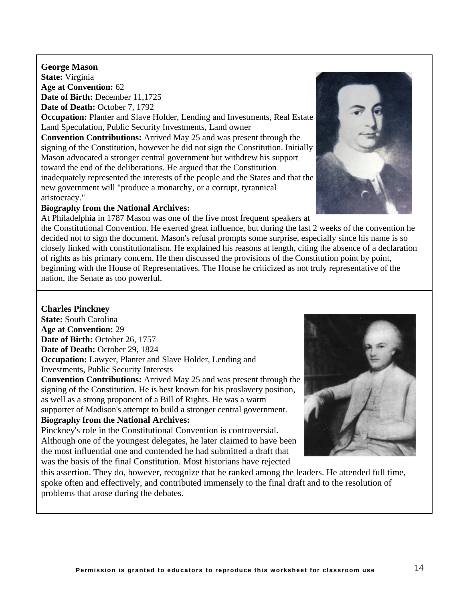**Permission is granted to educators to reproduce this worksheet for classroom use** 14

**George Mason State:** Virginia **Age at Convention:** 62 **Date of Birth:** December 11,1725 **Date of Death:** October 7, 1792

**Occupation:** Planter and Slave Holder, Lending and Investments, Real Estate Land Speculation, Public Security Investments, Land owner

**Convention Contributions:** Arrived May 25 and was present through the signing of the Constitution, however he did not sign the Constitution. Initially Mason advocated a stronger central government but withdrew his support toward the end of the deliberations. He argued that the Constitution inadequately represented the interests of the people and the States and that the new government will "produce a monarchy, or a corrupt, tyrannical aristocracy."

#### **Biography from the National Archives:**

At Philadelphia in 1787 Mason was one of the five most frequent speakers at

the Constitutional Convention. He exerted great influence, but during the last 2 weeks of the convention he decided not to sign the document. Mason's refusal prompts some surprise, especially since his name is so closely linked with constitutionalism. He explained his reasons at length, citing the absence of a declaration of rights as his primary concern. He then discussed the provisions of the Constitution point by point, beginning with the House of Representatives. The House he criticized as not truly representative of the nation, the Senate as too powerful.

#### **Charles Pinckney**

**State:** South Carolina **Age at Convention:** 29 **Date of Birth:** October 26, 1757 **Date of Death:** October 29, 1824 **Occupation:** Lawyer, Planter and Slave Holder, Lending and Investments, Public Security Interests

**Convention Contributions:** Arrived May 25 and was present through the signing of the Constitution. He is best known for his proslavery position, as well as a strong proponent of a Bill of Rights. He was a warm supporter of Madison's attempt to build a stronger central government. **Biography from the National Archives:**

Pinckney's role in the Constitutional Convention is controversial. Although one of the youngest delegates, he later claimed to have been the most influential one and contended he had submitted a draft that was the basis of the final Constitution. Most historians have rejected

this assertion. They do, however, recognize that he ranked among the leaders. He attended full time, spoke often and effectively, and contributed immensely to the final draft and to the resolution of problems that arose during the debates.